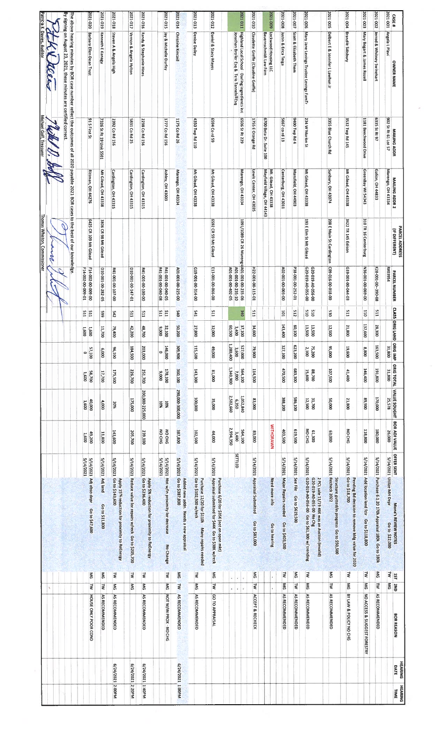|                                  |                              |                                   |                                                                                                                                          |                                                 |               |                                 |                               |                                                           |            |                  |                                        | Thomas Whiston, Commissioner              |                                                    | Michael Goff, Treasurer                    | Patricia K. Davies, Auditor                                                                                                                                                                             |                  |
|----------------------------------|------------------------------|-----------------------------------|------------------------------------------------------------------------------------------------------------------------------------------|-------------------------------------------------|---------------|---------------------------------|-------------------------------|-----------------------------------------------------------|------------|------------------|----------------------------------------|-------------------------------------------|----------------------------------------------------|--------------------------------------------|---------------------------------------------------------------------------------------------------------------------------------------------------------------------------------------------------------|------------------|
|                                  |                              | $\lambda$                         |                                                                                                                                          |                                                 |               |                                 |                               |                                                           |            |                  |                                        | p                                         |                                                    |                                            | El teers                                                                                                                                                                                                |                  |
|                                  |                              |                                   |                                                                                                                                          |                                                 |               |                                 |                               |                                                           |            |                  |                                        |                                           |                                                    |                                            | By signing on August 23, 2021, these minutes are certified correct<br>The above hearing minutes by BOR case number reflect the outcomes of all 2020 payable 2021 BOR cases to the best of our knowledge |                  |
|                                  | HOUSE ONLY POOR COND         | N                                 | 5/14/2021<br>5/14/2021 Adj obso depr<br>Go to \$47,600<br>ŠΜ                                                                             | 49,200<br>1,600                                 |               | 40,000<br>1,600                 | 58,700<br>1,600               | 1,600<br>1,600<br>57,100<br>$\circ$                       |            | <b>E11</b><br>ΙĘ | 14-002-00-009-01<br>F14-002-00-009-00  | 6425 CR 109 Mt Gilead                     | <b>Rittman, OH 44276</b>                           | 91 S First St                              | Barbara Ellen Dean Trust                                                                                                                                                                                | 2021-020         |
|                                  | AS RECOMMENDED               | ₹                                 | 5/14/2021 Adj land<br>Go to \$11,800<br>ŠΝ                                                                                               | 11,800                                          |               | 4,000                           | 17,700                        | 11,700<br>000'9                                           | 66\$       |                  | 010-001-00-282-05                      | 3806 CR 98 Mt Gilead                      | Mt Gilead, OH 43338                                | 7326 St Rt 19 Unit 5501                    | Kenneth E Kanagy                                                                                                                                                                                        | 2021-019         |
| 6/24/2021 2:00PM                 | AS RECOMMENDED               | š                                 | 5/14/2021 Go to \$143,600<br>Apply 15% reduction for proximity to ReEnergy<br>₹                                                          | 143,600                                         |               | 20%                             | 175,500                       | 79,400<br>96,100                                          | 542        |                  | R41-001-00-107-00                      |                                           | Cardington, OH 43315                               | 2392 Co Rd 156                             | Steven A & Angela High                                                                                                                                                                                  | 2021-018         |
| 6/24/2021 2:20PM                 |                              | $\frac{8}{3}$                     | 5/14/2021 Reduce value for repairs w/reck Go to \$205,700<br>ź                                                                           | 205,700                                         |               | 175,000                         | 226,700                       | 42,200<br>184,500                                         |            | <b>E11</b>       | 010-001-00-147-01                      |                                           | Cardington, OH 43315                               | 5831 Co Rd 25                              | Vernon & Angela Hylton                                                                                                                                                                                  | 2021-017         |
| 6/24/2021 1:40PM                 | AS RECOMMENDED               | $\frac{2}{3}$                     | 5/14/2021 Go to \$236,400<br>Apply 5% reduction for proximity to ReEnergy<br>₹                                                           | 239,100                                         |               | 200,000-225,000                 | 251,700                       | 48,700<br>203,000                                         |            | EII              | 841-001-00-100-00                      |                                           | Cardington, OH 43315                               | 2238 Co Rd 156                             | <b>Randy &amp; Stephanie Hines</b>                                                                                                                                                                      | 2021-016         |
|                                  | NOT W/IN PROX - NO CHG       | $\frac{8}{2}$                     | 5/14/2021<br>5/14/2021 Not w/in proximity for decrease<br>No Change<br>š                                                                 | NO CHG<br>NO CHG                                |               | 10%<br><b>10%</b>               | 178,100<br>000'6              | 32,100<br>000'6<br>146,000<br>۰                           |            | E<br>E11         | R41-001-00-040-08<br>50-000-00-100-DN  |                                           | Ashley, OH 43003                                   | 1777 Co Rd 156                             | Jay & Michelle Durfey                                                                                                                                                                                   | 2021-015         |
| 6/24/2021 1:00PM                 | AS RECOMMENDED               | <b>z</b>                          | 5/14/2021 Go to \$387,800<br>Added new addn. Needs a new appraisal<br>5M                                                                 | 387,800                                         |               | 290,000-300,000                 | 360,100                       | 50,200<br>309,900                                         |            | O#S              | A01-001-00-225-00                      |                                           | Marengo, OH 43334                                  | 1175 Co Rd 26                              | <b>Christine Kincaid</b>                                                                                                                                                                                | 2021-014         |
|                                  | AS RECOMMENDED               | $\frac{8}{3}$                     | 5/14/2021 Go to \$102,500 w/reck<br>Purchase 12/20 for \$110k<br>Many repairs needed<br>ş                                                | 102,500                                         |               | 100,000                         | 143,300                       | 27,800<br>115,500                                         |            | IÞS              | 00-100-100-214-00                      |                                           | Mt Gilead, OH 43338                                | 4350 Twp Rd 110                            | Denise Dailey                                                                                                                                                                                           | 2021-013         |
|                                  | GO TO APPRAISAL              | ₹                                 | 5/14/2021 Appraisal submitted for \$44K Go to \$38K w/reck<br>Purchase 6/20 for \$35K (not on open mkt)<br>₹                             | 44,000                                          |               | 35,000                          | 000'18                        | 32,000<br>000'69                                          |            | E                | E13-001-00-066-00                      | 6592 CR 59 Mt Gilead                      | Mt Gilead, OH 43338                                | <b>6594 Cord 59</b>                        | Daniel & Stacy Mayes                                                                                                                                                                                    | 2021-012         |
|                                  |                              | $\tilde{q}$ .<br>$\boldsymbol{q}$ | $\mathbf{A}=\mathbf{A}^{\mathrm{T}}$<br>$\tilde{\mathbf{r}}$                                                                             | 2,994,350<br>564,100<br>3,400<br><b>SETTLED</b> |               | 2,502,660<br>1,052,840<br>6,350 | 1,340,900<br>564,100<br>7,000 | 37,100<br>00509<br>3,400<br>1,280,400<br>527,000<br>3,600 | <b>340</b> |                  | 80-201-00-100-102<br>A01-001-00-235-10 | 1091/1089 CR 26 Marengd A01-001-00-235-06 | Marengo, OH 43334                                  | 6506 St Rt 229                             | Highland Local School - Darling Ingredients Inc<br>Jonathan Broller Esq & Tess Tannehill Esq                                                                                                            | 2021 011         |
|                                  | ACCEPT & RECHECK             | N                                 | 5/14/2021 Appraisal Submitted<br>Go to \$83,000<br>š                                                                                     | 83,000                                          |               | 83,000                          | 114,500                       | 34,600<br>79,900                                          |            | <b>LTS</b>       | H22-001-00-115-01                      |                                           | Lewis Center, OH 43035                             | 1755 E Orange Rd                           | <b>Claudette Greffe (Claudine Greffe)</b>                                                                                                                                                               | 2021-010         |
|                                  |                              | ï                                 | Need more info<br>Go to hearing<br>ä,                                                                                                    | <b>WITHDRAWN</b>                                |               |                                 |                               |                                                           |            |                  |                                        |                                           | Mayfield Village, OH 44143<br>Mt. Gilead, OH 43338 | 6700 Beta Dr., Suite 100                   | Lockwood Housing LLC<br>Bauernschmidt Law Firm                                                                                                                                                          | 2021-009         |
|                                  | AS RECOMMENDED               | š                                 | 5/14/2021 Major Repairs needed<br>Go to \$403,500<br>₹                                                                                   | 403,500                                         |               | 388,200                         | 470,500                       | 143,400<br>327,100                                        |            | ioi              | 00-600-00-003-00                       |                                           | Centerburg, OH 43011                               | 5667 co rd 13                              | Justin & Erica Teiga                                                                                                                                                                                    | 800-1202         |
|                                  | AS RECOMMENDED               | ź                                 | 5/14/2021 See File Go to \$619,500<br>Š                                                                                                  | 619,500                                         |               | 586,100                         | 683,300                       | 60,100<br>623,200                                         |            | 512              | 10-22-00100-252-01                     |                                           | Mansfield, OH 44903                                | 9400 Twp Rd 4                              | Scott & Elizabeth Them                                                                                                                                                                                  | 2021-007         |
|                                  | AS RECOMMENDED               | Š                                 | 5/14/2021 G20-019-A0-056-00 Go to \$61,300 w/ trending<br>G20-019-A0-055-00 No Chg<br>2 PCL sale 11/19 46K was an Auction (invalid)<br>k | NO CHG<br>61,300                                |               | 31,700<br>12,500                | 88,700<br>15,600              | 13,500<br>13,500<br>75,200<br>2,100                       |            | ors<br>ors       | 00-550-07-610-029<br>00-950-07-610-029 | 193 E Elm St Mt Gilead                    | Mt Gilead, OH 43338                                | 234 W Marion St                            | Mary Jane Levings Trustee Levings FamTr                                                                                                                                                                 | 2021-006         |
|                                  | AS RECOMMENDED               | ₹                                 | 5/14/2021 Recheck 2022<br>Structure gutted/in progress Go to \$50,500<br>ŠΜ                                                              | 63,000                                          |               | 000'05                          | 107,500                       | 12,500<br>000'56                                          |            | 530              | 00-016-00-018-00                       | 208 E Main St Cardington                  | Sunbury, OH 43074                                  | 3355 Blue Church Rd                        | Delbert E & Jennifer L Lawhun Jr                                                                                                                                                                        | 2021-005         |
|                                  | BY LAW & POLICY NO CHG       | ₹                                 | 5/14/2021 Go to \$18,700<br>Pending Bd decision to remove bidg value for 2020<br>ş                                                       |                                                 | <b>NOCHG</b>  | 21,800                          | 41,400                        | 21,800<br>19,600                                          |            | E15              | E0-19-00-100-044-03                    | 3422 TR 145 Edison                        | Mt Gilead, OH 43338                                | 3532 Twp Rd 145                            | <b>Brandie Salisbury</b>                                                                                                                                                                                | <b>POO-1202</b>  |
|                                  | NO ACCESS & SUGGEST FORESTRY | š                                 | 5/14/2021 Add location land fctr<br>Go to \$118,800<br>₹                                                                                 | 118,800                                         |               | 006'68                          | 146,400                       | 137,600<br>8,800                                          |            | <b>OID</b>       | 00-690-00-100-9EN                      | 310 TR 16 Centerburg                      | GreenBay WI 54343                                  | 1181 Beechwood Drive                       | Mary Bogart & James Rozell                                                                                                                                                                              | 2021-003         |
|                                  | AS RECOMMENDED               | ₹                                 | 5/14/2021 Purchase 6:1 20 170k Appraisal 180k Go to 180k<br>$\frac{8}{2}$                                                                | 180,000                                         |               | 170,000                         | 191,800                       | 28,300<br>163,500                                         |            | EIS              | K28-001-00-390-08                      |                                           | Galion, OH 44833                                   | 6335 St Rt 97                              | Jerrod & Whitney Swinehart                                                                                                                                                                              | 2021-002         |
| DATE<br>TIME                     | <b>BOR REASON</b>            | 2ND<br>OKS                        | 5/14/2021 Utilize MH Depr<br>Mona's REVIEW NOTES<br>Go to \$22,000<br>₹<br>$\frac{151}{2}$                                               | 26,000<br>OFFER SENT                            | BOR ADJ VALUE | VALUE SOUGHT<br>25,578          | <b>ORIG TOTAL</b><br>31,800   | CLASS ORIG LAND ORIG IMP<br>31,800                        |            |                  | <b>ARD3954</b><br>PARCEL NUMBER        | (IF OIFFERENT)                            | Marengo, OH 43334<br>MAILING ADDR 2                | 902 St Rt 61 Lot 57<br><b>MAILING ADDR</b> | Angela L Plavi<br>OWNER NAME                                                                                                                                                                            | 1001707<br>CASE# |
| <b>HEARING</b><br><b>HEARING</b> |                              |                                   |                                                                                                                                          |                                                 |               |                                 |                               |                                                           |            |                  |                                        | PARCEL ADDRESS                            |                                                    |                                            |                                                                                                                                                                                                         |                  |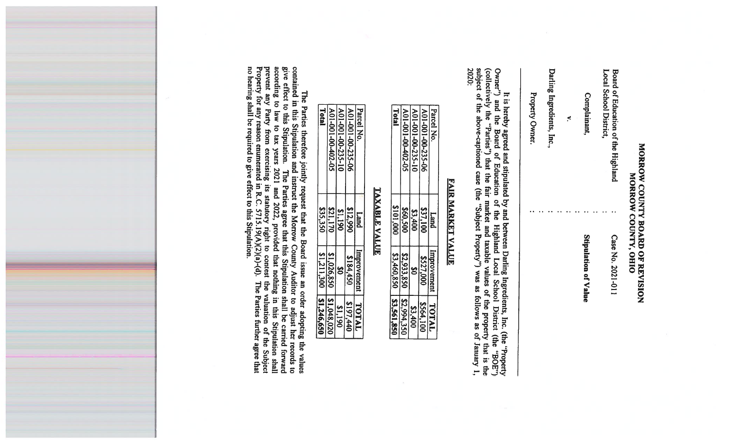# **MORROW COUNTY BOARD OF REVISION**<br>MORROW COUNTY, OHIO

| S | Complainant          | Local School District<br>Board of Education of the Highland |
|---|----------------------|-------------------------------------------------------------|
|   |                      |                                                             |
|   | Stipulation of Value | Case No. 2021-011                                           |

Darling Ingredients, Inc.,

Property Owner.

 $\mathbf{a}$  and  $\mathbf{a}$  and  $\mathbf{a}$ 

2020: It is hereby agreed and stipulated by and between Darling Ingredients, Inc. (the "Property Owner") and the Board of Education of the Highland Local School District (the "BOE") (collectively the "Parties") that the fair ma

### **FAIR MARKET VALUE**

| Parcel No.        | $_{\rm{pur}}$ | Improvement | TATAL        |
|-------------------|---------------|-------------|--------------|
| A01-001-00-235-06 | \$37,100      | \$527,000   | \$564,100    |
| A01-001-00-235-10 | \$3,400       | g           | \$3,400      |
| A01-001-00-402-05 | \$60,500      | \$2,933,850 | \$2,994,350  |
| Total             | 000'101\$     | \$3,460,850 | 1 53,561,850 |

#### **TAXABLE VALUE**

| Parcel No.        | puerq    | Improvement | TATAL      |
|-------------------|----------|-------------|------------|
| A01-001-00-235-06 | \$12,990 | \$184,450   | 8197,440   |
| A01-001-00-235-10 | 061'18   |             | \$1,190    |
| A01-001-00-402-05 | \$21,170 | \$1,026,850 | 81,048,020 |
| Total             | \$35,350 | \$1,211,300 | 81,246,650 |

The Parties therefore jointly request that the Board issue an order adopting the values<br>contained in this Stipulation and instruct the Morrow County Auditor to adjust her records to<br>give effect to this Stipulation. The Pa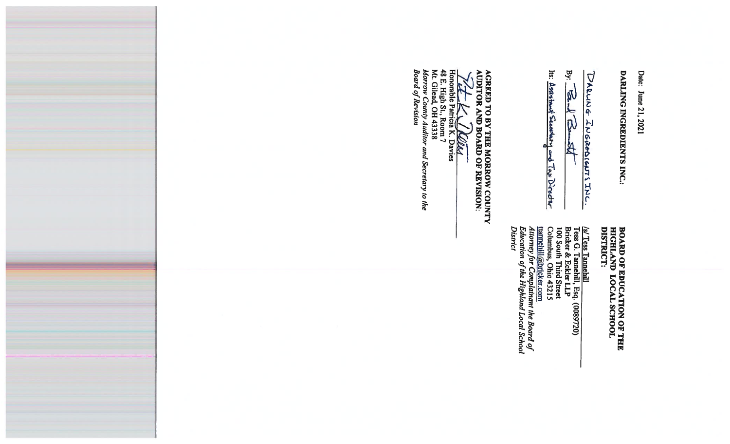Date: June 21, 2021

DARLING INGREDIENTS INC.

DARLING INGREDIGNTS INC.

**By:** 西方  $\mathbb{R}$ 

Is: Assistant Secretary and Tax Director

## **BOARD OF EDUCATION OF THE<br>HIGHLAND LOCAL SCHOOL<br>DISTRICT:**

<u>(s/ Tess Tamehill</u><br>Tess G. Tamehill, Esq. (0089720)<br>Bricker & Eckler LLP<br>100 South Third Street<br>Columbus, Ohio 43215<br><u>tamehill@bricker.com</u><br>*Attorney for Complainant the Board of*<br>Education of the Highland Local School<br>Ed **District** 

**AGREED TO BY THE MORROW COUNTY**<br>AUDITOR AND BOARD OF REVISION:

**ALLER MORE**<br>Honorable Patricia K. Davies<br>48 E. High St., Room 7<br>M. Gilead, OH 43338 Morrow County Auditor and Secretary to the<br>Board of Revision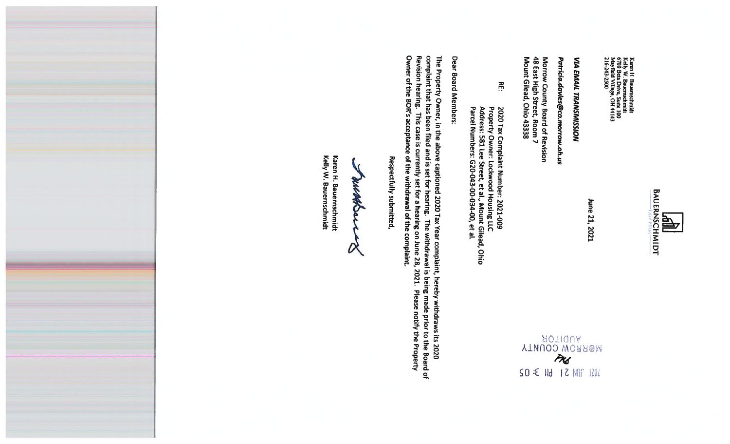

Karen H. Bauernschmidt<br>Kelly W. Bauernschmidt<br>6700 Beta Drive, Suite 100<br>Mayfield Village, OH 44143<br>216-243-2500

June 21, 2021

### **VIA EMAIL TRANSMISSION**

Patricia.davies@co.morrow.oh.us

AUDITOR<br>WERROW COUNTY<br>MUSICOUNTY

SO :E Hd 1 2 NAF 1202

Morrow County Board of Revision<br>48 East High Street, Room 7<br>Mount Gilead, Ohio 43338

**Rue** 2020 Tax Complaint Number: 2021-009<br>Property Owner: Lockwood Housing LLC<br>Address: 581 Lee Street, et al., Mount Gilead, Ohio<br>Parcel Numbers: G20-043-00-034-00, et al.

Dear Board Members:

complaint that has been filed and is set for hearing. The withdrawal is being made prior to the Board of<br>Revision hearing. This case is currently set for a hearing on June 28, 2021. Please notify the Property<br>Owner of the The Property Owner, in the above captioned 2020 Tax Year complaint, hereby withdraws its 2020

Respectfully submitted,

**WARNANO** 

Kelly W. Bauernschmidt Karen H. Bauernschmidt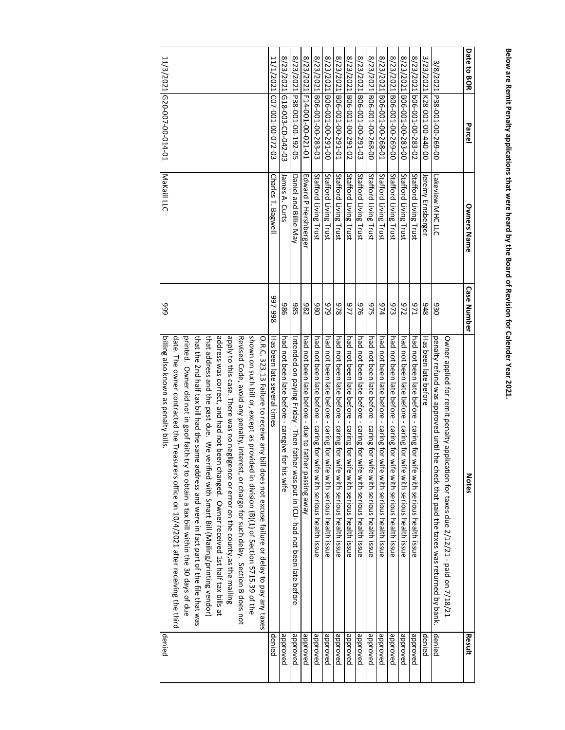| Date to BOR<br>Parce           | <b>Owners Name</b>    | <b>Case Number</b> | <b>Notes</b>                                                                                                                                                                              | Result   |
|--------------------------------|-----------------------|--------------------|-------------------------------------------------------------------------------------------------------------------------------------------------------------------------------------------|----------|
|                                |                       |                    | Owner applied for remit penalty application for taxes due 2/12/21 - paid on 7/18/21                                                                                                       |          |
| 3/8/2021 P38-001-00-269-00     | Lakeview MHC LLC      | 930                | penalty refund was approved unit the check that paid the taxes was returned by band by                                                                                                    | denied   |
| 3/23/2021<br>00-044-00-100-821 | Jeremy Ernsberger     | 876                | Has been late before                                                                                                                                                                      | denied   |
| 8/23/2021 b06-001-00-283-02    | Stafford Living Trust | <b>L</b> /6        | had not been late before - caring for with seriors health issue                                                                                                                           | panoved  |
| 8/23/2021 B06-001-00-283-00    | Stafford Living Trust | 272                | had not been late before - caring for wife with serious health issue                                                                                                                      | panoude  |
| 8/23/2021<br>00-692-00-100-908 | Stafford Living Trust | 973                | had not been late before - caring for wife with serious health issue                                                                                                                      | panoude  |
| 8/23/2021 B06-001-00-268-01    | Stafford Living Trust | 974                | had not been late before - caring for wife with serious health issue                                                                                                                      | panoude  |
| 8/23/2021<br>00-892-00-100-908 | Stafford Living Trust | 975                | had not been late before - caring for wife with serious health issue                                                                                                                      | panoude  |
| 8/23/2021 B06-001-00-291-03    | Stafford Living Trust | 976                | had not been late before - caring for wife with serious health issue                                                                                                                      | panoudde |
| 2/23/2021<br>P06-001-00-291-02 | Stafford Living Trust | 777                | had not been late before - caring for wife with serious health issue                                                                                                                      | panoudde |
| 8/23/2021 B06-001-00-291-01    | Stafford Living Trust | 878                | had not been late before - caring for wife with serious health issue                                                                                                                      | panoved  |
| 8/23/2021 B06-001-00-291-00    | Stafford Living Trust | 979                | had not been late before - caring for wife with serious health issue                                                                                                                      | panoudde |
| 8/23/2021 B06-001-00-283-03    | Stafford Living Trust | 086                | had not been late before - caring for wife with serious health issue                                                                                                                      | panoude  |
| 2/23/2021 F14-001-00-021-01    | Edward P Hershberger  | 286                | had not been late before - due to father passing away                                                                                                                                     | panoudde |
| 8/23/2021<br>b38-001-00-192-05 | Daniel and Billie May | 386                | Intended on paying Friday - Then father was put in ICU- had not been late before                                                                                                          | panoved  |
| 8/23/2021 G18-003-CD-042-03    | James A. Curts        | 986                | had not been late before - caregive for his wife                                                                                                                                          | panoudde |
| 11/1/2021<br>(07-001-00-072-03 | Charles T. Bagwell    | 866-466            | Has been late several times                                                                                                                                                               | denied   |
|                                |                       |                    | shown on such bill or, except as provided in division (B)(1) of Section 5715.39 of the<br>O.R.C. 323.13 Failure to receive any bi<br>Il does not excuse failure or delay to pay any taxes |          |
|                                |                       |                    | apply to this case. There was no negligence or error on the county, as the mailing<br>Revised Code, avoid any penalty, interest, or charge for such delay. Section B does not             |          |
|                                |                       |                    | address was correct, and had not been changed. Owner received 1st half tax bills at                                                                                                       |          |
|                                |                       |                    | that address and the past due. We ve<br>rified with Smart Bill (Mailing/printing vendor)                                                                                                  |          |
|                                |                       |                    | that the 2nd half tax bill had the same address and were in fact part of the file that was                                                                                                |          |
|                                |                       |                    | printed. Owner did not in goof faith try to obtain a tax bill within the 30 days of due                                                                                                   |          |
|                                |                       |                    | date. The owner contracted the Treasurers office on 10/4/2021 after receiving the third                                                                                                   |          |
| 11/3/2021 620-007-00-014-01    | Makaill LLC           | 666                | billing also known as penalty bills.                                                                                                                                                      | denied   |

# Below are Remit Penalty applications that were heard by the Board of Revision for Calender Year 2021. **Below are Remit Penalty applications that were heard by the Board of Revision for Calender Year 2021.**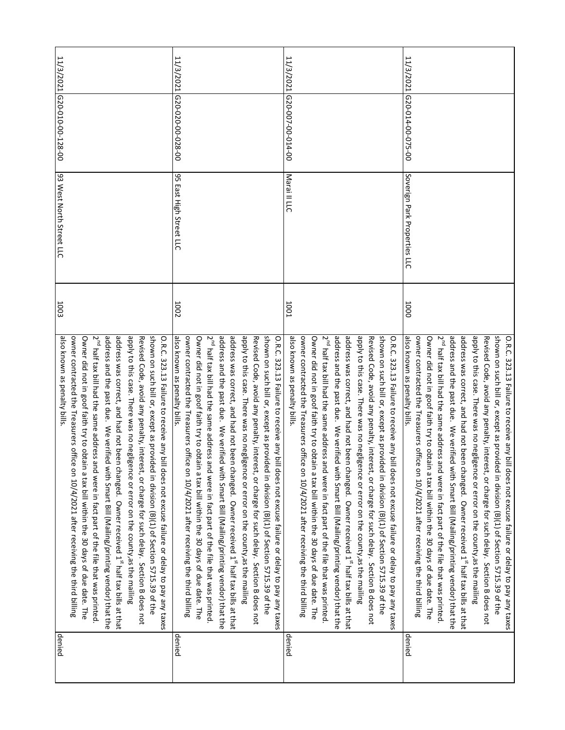| denied | also known as penalty bills.<br>2 <sup>nd</sup> half tax bill had the same address<br>address and the past due. We verified with Smart Bill (Malilng/printing vendor) that the<br>address was correct, and had not been changed. Owner received 1 <sup>st</sup> half tax bills at that<br>apply to this case. There was no negligence or error on the county, as the mailing<br>owner contracted the Treasurers office on $10/4/2021$ after receiving the third billing<br>Owner did not in goof faith try to obtain a tax bill within the 30 days of due date. The<br>and were in fact part of the file that was printed. | 1003        | 93 West North Street LLC     | 11/3/2021 G20-010-00-128-00 |  |
|--------|----------------------------------------------------------------------------------------------------------------------------------------------------------------------------------------------------------------------------------------------------------------------------------------------------------------------------------------------------------------------------------------------------------------------------------------------------------------------------------------------------------------------------------------------------------------------------------------------------------------------------|-------------|------------------------------|-----------------------------|--|
|        | shown on such bill or, except as provided in division (B)(1) of Section 5715.39 of the<br>Revised Code, avoid any penalty, interest, or charge for such delay. Section B does not<br>O.R.C. 323.13 Failure to receive any bill does not excuse failure or delay to pay any taxes                                                                                                                                                                                                                                                                                                                                           |             |                              |                             |  |
| denied | also known as penalty bills.<br>owner contracted the Treasurers office on $10/4/2021$ after receiving the third billing<br>Owner did not in goof faith try to obtain a tax bill within the 30 days of due date. The                                                                                                                                                                                                                                                                                                                                                                                                        | 1002        | 95 East High Street LLC      | 11/3/2021 620-020-028-00    |  |
|        | address and the past due. We verified with Smart Bill (Mailing/printing vendor) that the<br>address was correct, and had not been changed. Owner received 1 <sup>st</sup> half tax bills at that<br>2 <sup>nd</sup> half tax bill had the same address<br>and were in fact part of the file that was printed                                                                                                                                                                                                                                                                                                               |             |                              |                             |  |
|        | shown on such bill or, except as provided in division (B)(1) of Section 5715.39 of the<br>apply to this case. There was no negligence or error on the county, as the mailing<br>Revised Code, avoid any penalty, interest, or charge for such delay. Section B does not<br>O.R.C. 323.13 Failure to receive any bill does not excuse failure or delay to pay any taxes                                                                                                                                                                                                                                                     |             |                              |                             |  |
| denied |                                                                                                                                                                                                                                                                                                                                                                                                                                                                                                                                                                                                                            | <b>1001</b> | Maraill LLC                  | 11/3/2021 620-007-00-014-00 |  |
|        | also known as penalty bills.<br>2 <sup>nd</sup> half tax bill had the same address<br>owner contracted the Treasurers office on 10/4/2021 after receiving the third billing<br>Owner did not in goof faith try to obtain a tax bill within the 30 days of due date. The<br>and were in fact part of the file that was printed.                                                                                                                                                                                                                                                                                             |             |                              |                             |  |
|        | address and the past due. We verified with Smart Bill (Mailing/printing vendor) that the<br>address was correct, and had not been changed. Owner received 1 <sup>st</sup> half tax bills at that                                                                                                                                                                                                                                                                                                                                                                                                                           |             |                              |                             |  |
|        | shown on such bill or, except as provided in division (B)(1) of Section 5715.39 of the<br>apply to this case. There was no negligence or error on the county, as the mailing<br>Revised Code, avoid any penalty, interest, or charge for such delay. Section B does not<br>O.R.C. 323.13 Failure to receive any bill does not excuse failure or delay to pay any taxes                                                                                                                                                                                                                                                     |             |                              |                             |  |
| denied | also known as penalty bills.                                                                                                                                                                                                                                                                                                                                                                                                                                                                                                                                                                                               | 1000        | Soverign Park Properties LLC | 11/3/2021 620-014-00-075-00 |  |
|        | owner contracted the Treasurers office on 10/4/2021 after receiving the third billing<br>Owner did not in goof faith try to obtain a tax bill within the 30 days of due date. The<br>2 <sup>nd</sup> half tax bill had the same address<br>and were in fact part of the file that was printed.                                                                                                                                                                                                                                                                                                                             |             |                              |                             |  |
|        | address and the past due. We verified with Smart Bill (Mailing/printing vendor) that the<br>address was correct, and had not been changed. Owner received 1 <sup>st</sup> half tax bills at that                                                                                                                                                                                                                                                                                                                                                                                                                           |             |                              |                             |  |
|        | apply to this case. There was no negligence or error on the county, as the mailing<br>Revised Code, avoid any penalty, interest, or charge for such delay. Section B does not                                                                                                                                                                                                                                                                                                                                                                                                                                              |             |                              |                             |  |
|        | shown on such bill or, except as provided in division (B)(1) of Section 5715.39 of the<br>O.R.C. 323.13 Failure to receive any bill does not excuse failure or delay to pay any taxes                                                                                                                                                                                                                                                                                                                                                                                                                                      |             |                              |                             |  |
|        |                                                                                                                                                                                                                                                                                                                                                                                                                                                                                                                                                                                                                            |             |                              |                             |  |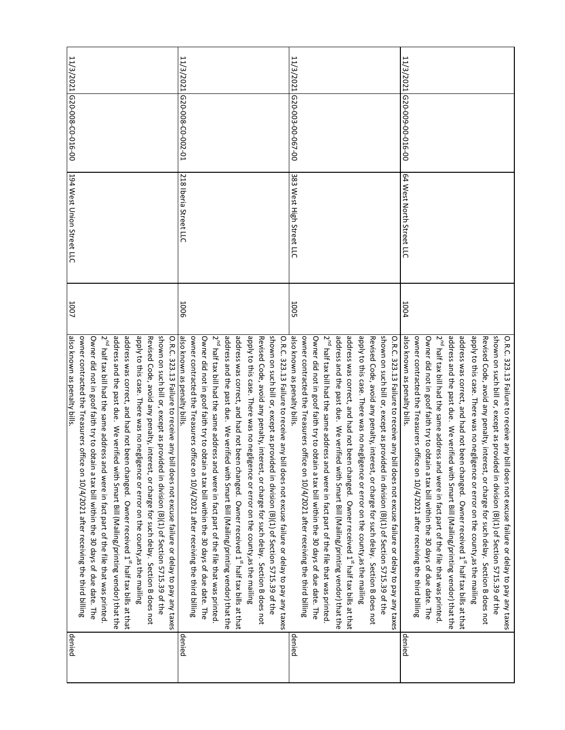| denied | also known as penalty bills.                                                                              | 1007        | 194 West Union Street LLC | 11/3/2021 620-008-C0-016-00 |           |
|--------|-----------------------------------------------------------------------------------------------------------|-------------|---------------------------|-----------------------------|-----------|
|        | owner contracted the Treasurers office on 10/4/2021 after receiving the third billing                     |             |                           |                             |           |
|        | Owner did not in goof faith try to obtain a tax bill within the 30 days of due date. The                  |             |                           |                             |           |
|        | 2 <sup>nd</sup> half tax bill had the same address<br>and were in fact part of the file that was printed. |             |                           |                             |           |
|        | address and the past due. We verified with Smart Bill (Mailing/printing vendor) that the                  |             |                           |                             |           |
|        | address was correct, and had not been changed. Owner received 1 <sup>st</sup> half tax bills at that      |             |                           |                             |           |
|        |                                                                                                           |             |                           |                             |           |
|        | apply to this case. There was no negligence or error on the county, as the mailing                        |             |                           |                             |           |
|        | Revised Code, avoid any penalty, interest, or charge for such delay. Section B does not                   |             |                           |                             |           |
|        | shown on such bill or, except as provided in division (B)(1) of Section 5715.39 of the                    |             |                           |                             |           |
|        | O.R.C. 323.13 Failure to receive any bill does not excuse failure or delay to pay any taxes               |             |                           |                             |           |
| denied | also known as penalty bills.                                                                              | 1006        | 218 Iberia Street LLC     | IC-000-00-000-01            | 11/3/2021 |
|        | owner contracted the Treasurers office on 10/4/2021 after receiving the third billing                     |             |                           |                             |           |
|        | Owner did not in goof faith try to obtain a tax bill within the 30 days of due date. The                  |             |                           |                             |           |
|        | 2 <sup>nd</sup> half tax bill had the same address<br>and were in fact part of the file that was printed. |             |                           |                             |           |
|        | address and the past due. We verified with Smart Bill (Mailing/printing vendor) that the                  |             |                           |                             |           |
|        | address was correct, and had not been changed. Owner received 1 <sup>st</sup> half tax bills at that      |             |                           |                             |           |
|        | apply to this case. There was no negligence or error on the county, as the mailing                        |             |                           |                             |           |
|        | Revised Code, avoid any penalty, interest, or charge for such delay. Section B does not                   |             |                           |                             |           |
|        | shown on such bill or, except as provided in division (B)(1) of Section 5715.39 of the                    |             |                           |                             |           |
|        | O.R.C. 323.13 Failure to receive any bill does not excuse failure or delay to pay any taxes               |             |                           |                             |           |
|        |                                                                                                           |             |                           |                             |           |
| denied | also known as penalty bills.                                                                              | <b>1005</b> | 383 West High Street LLC  | 11/3/2021 G20-003-00-067-00 |           |
|        | owner contracted the Treasurers office on 10/4/2021 after receiving the third billing                     |             |                           |                             |           |
|        | Owner did not in goof faith try to obtain a tax bill within the 30 days of due date. The                  |             |                           |                             |           |
|        | 2 <sup>nd</sup> half tax bill had the same address<br>and were in fact part of the file that was printed. |             |                           |                             |           |
|        | address and the past due. We verified with Smart Bill (Mailing/printing vendor) that the                  |             |                           |                             |           |
|        | address was correct, and had not been changed. Owner received 1 <sup>st</sup> half tax bills at that      |             |                           |                             |           |
|        | apply to this case. There was no negligence or error on the county, as the mailing                        |             |                           |                             |           |
|        | Revised Code, avoid any penalty, interest, or charge for such delay. Section B does not                   |             |                           |                             |           |
|        | shown on such bill or, except as provided in division (B)(1) of Section 5715.39 of the                    |             |                           |                             |           |
|        | O.R.C. 323.13 Failure to receive any bill does not excuse failure or delay to pay any taxes               |             |                           |                             |           |
| denied | also known as penalty bills.                                                                              | 1004        | 64 West North Street LLC  | 00-910-00-600-025           | 11/3/2021 |
|        | owner contracted the Treasurers office on 10/4/2021 after receiving the third billing                     |             |                           |                             |           |
|        | Owner did not in goof faith try to obtain a tax bill within the 30 days of due date. The                  |             |                           |                             |           |
|        | 2 <sup>nd</sup> half tax bill had the same address<br>and were in fact part of the file that was printed. |             |                           |                             |           |
|        | address and the past due. We verified with Smart Bill (Mailing/printing vendor) that the                  |             |                           |                             |           |
|        | address was correct, and had not been changed. Owner received 1 <sup>st</sup> half tax bills at that      |             |                           |                             |           |
|        | apply to this case. There was no negligence or error on the county, as the mailing                        |             |                           |                             |           |
|        | Revised Code, avoid any penalty, interest, or charge for such delay. Section B does not                   |             |                           |                             |           |
|        | shown on such bill or, except as provided in division (B)(1) of Section 5715.39 of the                    |             |                           |                             |           |
|        | O.R.C. 323.13 Failure to receive any bill does not excuse failure or delay to pay any taxes               |             |                           |                             |           |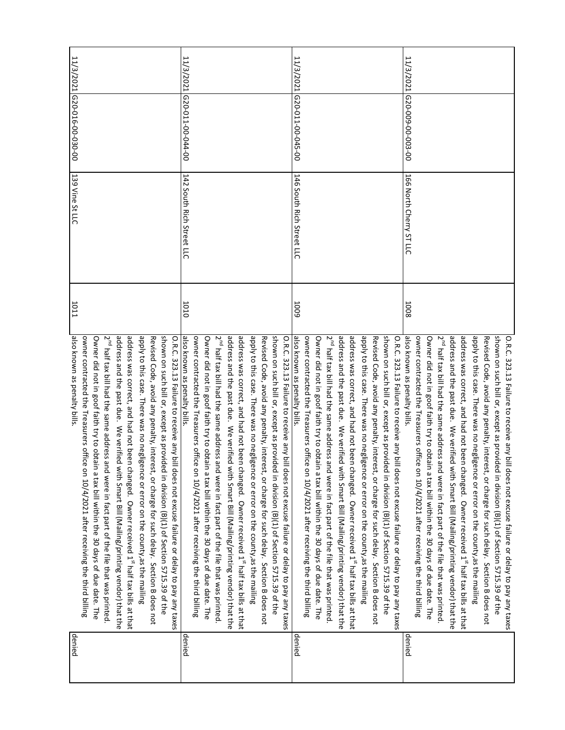| denied | also known as penalty bills.                                                                              | 1011 | 139 Vine St LLC           | 11/3/2021 620-016-00-030-00 |           |
|--------|-----------------------------------------------------------------------------------------------------------|------|---------------------------|-----------------------------|-----------|
|        | owner contracted the Treasurers office on 10/4/2021 after receiving the third billing                     |      |                           |                             |           |
|        | Owner did not in goof faith try to obtain a tax bill within the 30 days of due date. The                  |      |                           |                             |           |
|        | 2 <sup>nd</sup> half tax bill had the same address<br>and were in fact part of the file that was printed  |      |                           |                             |           |
|        | address and the past due. We verified with Smart Bill (Mailing/printing vendor) that the                  |      |                           |                             |           |
|        | address was correct, and had not been changed. Owner received 1 <sup>st</sup> half tax bills at that      |      |                           |                             |           |
|        | apply to this case. There was no negligence or error on the county, as the mailing                        |      |                           |                             |           |
|        | Revised Code, avoid any penalty, interest, or charge for such delay. Section B does not                   |      |                           |                             |           |
|        | shown on such bill or, except as provided in division (B)(1) of Section 5715.39 of the                    |      |                           |                             |           |
|        | O.R.C. 323.13 Failure to receive any bill does not excuse failure or delay to pay any taxes               |      |                           |                             |           |
| denied | also known as penalty bills.                                                                              | 1010 | 142 South Rich Street LLC | 11/3/2021 620-011-00-044-00 |           |
|        | owner contracted the Treasurers office on 10/4/2021 after receiving the third billing                     |      |                           |                             |           |
|        | Owner did not in goof faith try to obtain a tax bill within the 30 days of due date. The                  |      |                           |                             |           |
|        | 2 <sup>nd</sup> half tax bill had the same address<br>and were in fact part of the file that was printed  |      |                           |                             |           |
|        | address and the past due. We verified with Smart Bill (Malilng/printing vendor) that the                  |      |                           |                             |           |
|        | address was correct, and had not been changed. Owner received 1 <sup>st</sup> half tax bills at that      |      |                           |                             |           |
|        | apply to this case. There was no negligence or error on the county, as the mailing                        |      |                           |                             |           |
|        | Revised Code, avoid any penalty, interest, or charge for such delay. Section B does not                   |      |                           |                             |           |
|        | shown on such bill or, except as provided in division (B)(1) of Section 5715.39 of the                    |      |                           |                             |           |
|        | O.R.C. 323.13 Failure to receive any bill does not excuse failure or delay to pay any taxes               |      |                           |                             |           |
| denied | also known as penalty bills.                                                                              | 5001 | 146 South Rich Street LLC | 11/3/2021 620-011-00-045-00 |           |
|        | owner contracted the Treasurers office on $10/4/2021$ after receiving the third billing                   |      |                           |                             |           |
|        |                                                                                                           |      |                           |                             |           |
|        | Owner did not in goof faith try to obtain a tax bill within the 30 days of due date. The                  |      |                           |                             |           |
|        | 2 <sup>nd</sup> half tax bill had the same address<br>and were in fact part of the file that was printed. |      |                           |                             |           |
|        | address and the past due. We werified with Smart Bill (Mailing/printing vendor) that the                  |      |                           |                             |           |
|        | address was correct, and had not been changed. Owner received 1 <sup>st</sup> half tax bills at that      |      |                           |                             |           |
|        | apply to this case. There was no negligence or error on the county, as the mailing                        |      |                           |                             |           |
|        | Revised Code, avoid any penalty, interest, or charge for such delay. Section B does not                   |      |                           |                             |           |
|        | shown on such bill or, except as provi<br>ded in division (B)(1) of Section 5715.39 of the                |      |                           |                             |           |
|        | O.R.C. 323.13 Failure to receive any bill does not excuse failure or delay to pay any taxes               |      |                           |                             |           |
| denied | also known as penalty bills.                                                                              | 1008 | 166 North Cherry ST LLC   | 020-009-00-003-00           | 11/3/2021 |
|        | owner contracted the Treasurers office on 10/4/2021 after receiving the third billing                     |      |                           |                             |           |
|        | Owner did not in goof faith try to obtain a tax bill within the 30 days of due date. The                  |      |                           |                             |           |
|        | 2 <sup>nd</sup> half tax bill had the same address<br>and were in fact part of the file that was printed  |      |                           |                             |           |
|        | address and the past due. We verified with Smart Bill (Mailing/printing vendor) that the                  |      |                           |                             |           |
|        | address was correct, and had not been changed. Owner received 1 <sup>st</sup> half tax bills at that      |      |                           |                             |           |
|        | apply to this case. There was no neglig<br>gence or error on the county, as the mailing                   |      |                           |                             |           |
|        | Revised Code, avoid any penalty, interest, or charge for such delay. Section B does not                   |      |                           |                             |           |
|        | shown on such bill or, except as provided in division (B)(1) of Section 5715.39 of the                    |      |                           |                             |           |
|        | O.R.C. 323.13 Failure to receive any bill does not excuse failure or delay to pay any taxes               |      |                           |                             |           |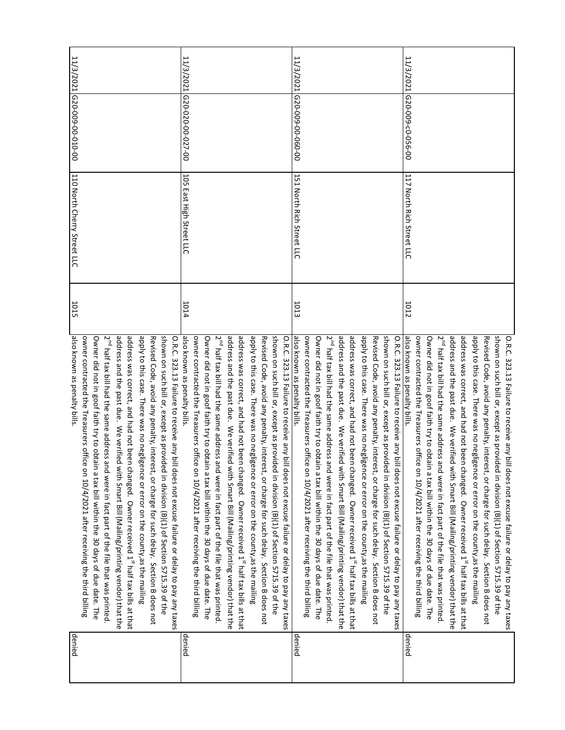| denied | also known as penalty bills.<br>owner contracted the Treasurers office on 10/4/2021 after receiving the third billing | 1015        | 110 North Cherry Street LLC | 11/3/2021 [620-009-00-010-00 |           |
|--------|-----------------------------------------------------------------------------------------------------------------------|-------------|-----------------------------|------------------------------|-----------|
|        | Owner did not in goof faith try to obtain a tax bill within the 30 days of due date. The                              |             |                             |                              |           |
|        | 2 <sup>nd</sup> half tax bill had the same address<br>and were in fact part of the file that was printed              |             |                             |                              |           |
|        | address and the past due. We verified with Smart Bill (Mailing/printing vendor) that the                              |             |                             |                              |           |
|        | address was correct, and had not been changed. Owner received 1 <sup>st</sup> half tax bills at that                  |             |                             |                              |           |
|        | apply to this case. There was no negligence or error on the county, as the mailing                                    |             |                             |                              |           |
|        | Revised Code, avoid any penalty, interest, or charge for such delay. Section B does not                               |             |                             |                              |           |
|        | shown on such bill or, except as provided in division (B)(1) of Section 5715.39 of the                                |             |                             |                              |           |
|        | O.R.C. 323.13 Failure to receive any bill does not excuse failure or delay to pay any taxes                           |             |                             |                              |           |
| denied | also known as penalty bills.                                                                                          | <b>1014</b> | 105 East High Street LLC    | 11/3/2021 620-020-00-027-00  |           |
|        | owner contracted the Treasurers office on 10/4/2021 after receiving the third billing                                 |             |                             |                              |           |
|        | Owner did not in goof faith try to obtain a tax bill within the 30 days of due date. The                              |             |                             |                              |           |
|        | 2 <sup>nd</sup> half tax bill had the same address<br>and were in fact part of the file that was printed              |             |                             |                              |           |
|        | address and the past due. We verified with Smart Bill (Mailing/printing vendor) that the                              |             |                             |                              |           |
|        | address was correct, and had not been changed. Owner received 1 <sup>st</sup> half tax bills at that                  |             |                             |                              |           |
|        | apply to this case. There was no negligence or error on the county, as the mailing                                    |             |                             |                              |           |
|        | Revised Code, avoid any penalty, interest, or charge for such delay. Section B does not                               |             |                             |                              |           |
|        | shown on such bill or, except as provided in division (B)(1) of Section 5715.39 of the                                |             |                             |                              |           |
|        | O.R.C. 323.13 Failure to receive any bill does not excuse failure or delay to pay any taxes                           |             |                             |                              |           |
| denied | also known as penalty bills.                                                                                          | 1013        | 151 North Rich Street LLC   | 11/3/2021 620-009-00-060-00  |           |
|        | owner contracted the Treasurers office on 10/4/2021 after receiving the third billing                                 |             |                             |                              |           |
|        | Owner did not in goof faith try to obtain a tax bill within the 30 days of due date. The                              |             |                             |                              |           |
|        | 2 <sup>nd</sup> half tax bill had the same address<br>and were in fact part of the file that was printed.             |             |                             |                              |           |
|        | address and the past due. We verified with Smart Bill (Mailing/printing vendor) that the                              |             |                             |                              |           |
|        | address was correct, and had not been changed. Owner received 1 <sup>st</sup> half tax bills at that                  |             |                             |                              |           |
|        | apply to this case. There was no negligence or error on the county, as the mailing                                    |             |                             |                              |           |
|        | Revised Code, avoid any penalty, interest, or charge for such delay. Section B does not                               |             |                             |                              |           |
|        | shown on such bill or, except as provided in division (B)(1) of Section 5715.39 of the                                |             |                             |                              |           |
|        | O.R.C. 323.13 Failure to receive any bill does not excuse failure or delay to pay any taxes                           |             |                             |                              |           |
| denied | also known as penalty bills.                                                                                          | 1012        | 117 North Rich Street LLC   | 00-950-00-600-025            | 11/3/2021 |
|        | owner contracted the Treasurers office on 10/4/2021 after receiving the third billing                                 |             |                             |                              |           |
|        | Owner did not in goof faith try to obtain a tax bill within the 30 days of due date. The                              |             |                             |                              |           |
|        | 2 <sup>nd</sup> half tax bill had the same address<br>and were in fact part of the file that was printed              |             |                             |                              |           |
|        | address and the past due. We verified with Smart Bill (Mailing/printing vendor) that the                              |             |                             |                              |           |
|        | address was correct, and had not been changed. Owner received 1 <sup>st</sup> half tax bills at that                  |             |                             |                              |           |
|        | apply to this case. There was no negligence or error on the county, as the mailing                                    |             |                             |                              |           |
|        | Revised Code, avoid any penalty, interest, or charge for such delay. Section B does not                               |             |                             |                              |           |
|        | shown on such bill or, except as provided in division (B)(1) of Section 5715.39 of the                                |             |                             |                              |           |
|        | O.R.C. 323.13 Failure to receive any bill does not excuse failure or delay to pay any taxes                           |             |                             |                              |           |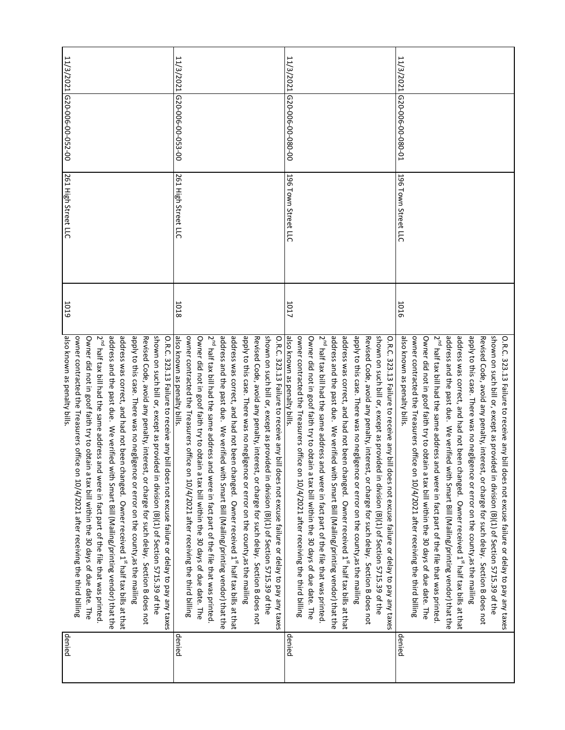| denied | also known as penalty bills.<br>address and the past due. We verified with Smart Bill (Mailing/printing vendor) that the<br>2 <sup>nd</sup> half tax bill had the same address<br>address was correct, and had not been changed. Owner received 1 <sup>st</sup> half tax bills at that<br>apply to this case. There was no negligence or error on the county, as the mailing<br>shown on such bill or, except as provided in division (B)(1) of Section 5715.39 of the<br>owner contracted the Treasurers office on 10/4/2021 after receiving the third billing<br>Revised Code, avoid any penalty, interest, or charge for such delay. Section B does not<br>Owner did not in goof faith try to obtain a tax bill within the 30 days of due date. The<br>O.R.C. 323.13 Failure to receive any bill does not excuse failure or delay to pay any taxes<br>and were in fact part of the file that was printed. | 1019        | 261 High Street LLC | 11/3/2021 620-006-00-052-00 |           |
|--------|--------------------------------------------------------------------------------------------------------------------------------------------------------------------------------------------------------------------------------------------------------------------------------------------------------------------------------------------------------------------------------------------------------------------------------------------------------------------------------------------------------------------------------------------------------------------------------------------------------------------------------------------------------------------------------------------------------------------------------------------------------------------------------------------------------------------------------------------------------------------------------------------------------------|-------------|---------------------|-----------------------------|-----------|
| denied | also known as penalty bills.                                                                                                                                                                                                                                                                                                                                                                                                                                                                                                                                                                                                                                                                                                                                                                                                                                                                                 | <b>1018</b> | 261 High Street LLC | 11/3/2021 620-006-00-053-00 |           |
|        | owner contracted the Treasurers office on 10/4/2021 after receiving the third billing<br>2 <sup>nd</sup> half tax bill had the same address<br>Owner did not in goof faith try to obtain a tax bill within the 30 days of due date. The<br>and were in fact part of the file that was printed.                                                                                                                                                                                                                                                                                                                                                                                                                                                                                                                                                                                                               |             |                     |                             |           |
|        | address and the past due. We verified with Smart Bill (Mailing/printing vendor) that the                                                                                                                                                                                                                                                                                                                                                                                                                                                                                                                                                                                                                                                                                                                                                                                                                     |             |                     |                             |           |
|        | address was correct, and had not been changed. Owner received 1 <sup>st</sup> half tax bills at that                                                                                                                                                                                                                                                                                                                                                                                                                                                                                                                                                                                                                                                                                                                                                                                                         |             |                     |                             |           |
|        | apply to this case. There was no negligence or error on the county, as the mailing                                                                                                                                                                                                                                                                                                                                                                                                                                                                                                                                                                                                                                                                                                                                                                                                                           |             |                     |                             |           |
|        | Revised Code, avoid any penalty, interest, or charge for such delay. Section B does not                                                                                                                                                                                                                                                                                                                                                                                                                                                                                                                                                                                                                                                                                                                                                                                                                      |             |                     |                             |           |
|        | shown on such bill or, except as provided in division (B)(1) of Section 5715.39 of the                                                                                                                                                                                                                                                                                                                                                                                                                                                                                                                                                                                                                                                                                                                                                                                                                       |             |                     |                             |           |
|        | O.R.C. 323.13 Failure to receive any bill does not excuse failure or delay to pay any taxes                                                                                                                                                                                                                                                                                                                                                                                                                                                                                                                                                                                                                                                                                                                                                                                                                  |             |                     |                             |           |
| denied | also known as penalty bills.<br>owner contracted the Treasurers office on 10/4/2021 after receiving the third billing<br>2 <sup>nd</sup> half tax bill had the same address<br>address and the past due. We verified with Smart Bill (Mailing/printing vendor) that the<br>address was correct, and had not been changed. Owner received 1 <sup>st</sup> half tax bills at that<br>apply to this case. There was no negligence or error on the county, as the mailing<br>shown on such bill or, except as provided in division (B)(1) of Section 5715.39 of the<br>Owner did not in goof faith try to obtain a tax bill within the 30 days of due date. The<br>Revised Code, avoid any penalty, interest, or charge for such delay. Section B does not<br>O.R.C. 323.13 Failure to receive any bill does not excuse failure or delay to pay any taxes<br>and were in fact part of the file that was printed. | 1017        | 196 Town Street LLC | 00-080-00-900-029           | 11/3/2021 |
| denied | also known as penalty bills.                                                                                                                                                                                                                                                                                                                                                                                                                                                                                                                                                                                                                                                                                                                                                                                                                                                                                 | 1016        | 196 Town Street LLC | 11/3/2021 620-006-00-080-01 |           |
|        | address was correct, and had not been changed. Owner received 1 <sup>st</sup> half tax bills at that<br>apply to this case. There was no negligence or error on the county, as the mailing<br>$2^{nd}$ half tax bill had the same address and were in fact part of the file that was printed<br>address and the past due. We verified with Smart Bill (Mailing/printing vendor) that the<br>Revised Code, avoid any penalty, interest, or charge for such delay. Section B does not<br>shown on such bill or, except as provided in division (B)(1) of Section 5715.39 of the<br>owner contracted the Treasurers office on 10/4/2021 after receiving the third billing<br>Owner did not in goof faith try to obtain a tax bill within the 30 days of due date. The<br>O.R.C. 323.13 Failure to receive any bill does not excuse failure or delay to pay any taxes                                            |             |                     |                             |           |